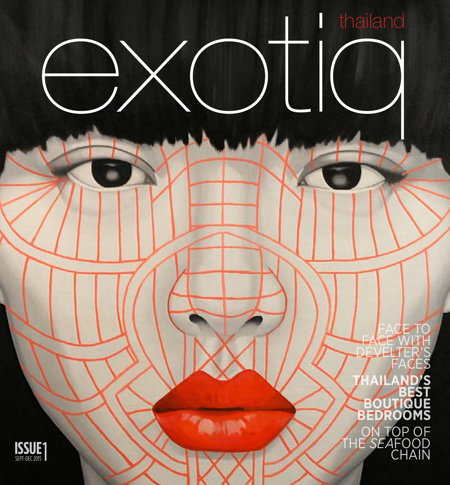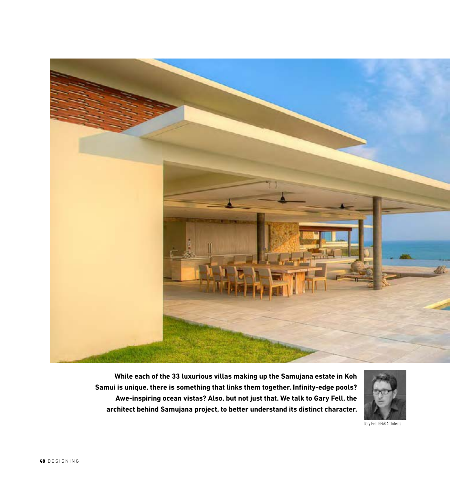

**While each of the 33 luxurious villas making up the Samujana estate in Koh Samui is unique, there is something that links them together. Infinity-edge pools? Awe-inspiring ocean vistas? Also, but not just that. We talk to Gary Fell, the architect behind Samujana project, to better understand its distinct character.**



Gary Fell, GFAB Architects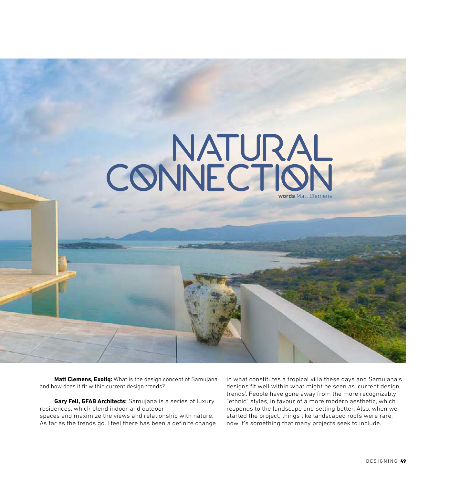

**Matt Clemens, Exotiq:** What is the design concept of Samujana and how does it fit within current design trends?

**Gary Fell, GFAB Architects:** Samujana is a series of luxury residences, which blend indoor and outdoor spaces and maximize the views and relationship with nature. As far as the trends go, I feel there has been a definite change in what constitutes a tropical villa these days and Samujana's designs fit well within what might be seen as 'current design trends'. People have gone away from the more recognizably "ethnic" styles, in favour of a more modern aesthetic, which responds to the landscape and setting better. Also, when we started the project, things like landscaped roofs were rare, now it's something that many projects seek to include.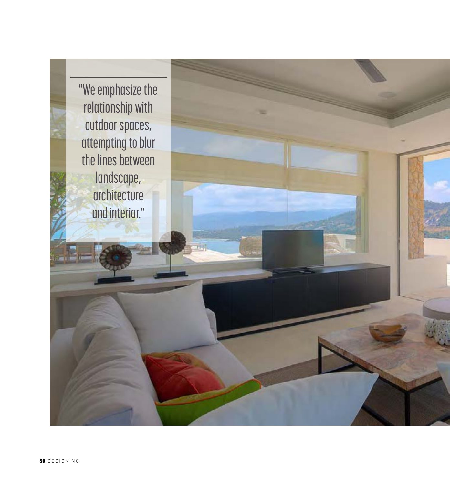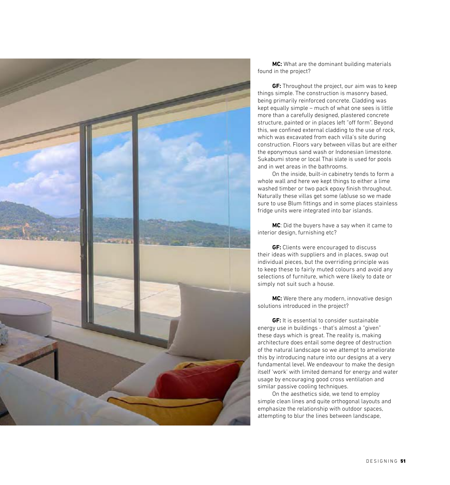

**MC:** What are the dominant building materials found in the project?

**GF:** Throughout the project, our aim was to keep things simple. The construction is masonry based, being primarily reinforced concrete. Cladding was kept equally simple – much of what one sees is little more than a carefully designed, plastered concrete structure, painted or in places left "off form". Beyond this, we confined external cladding to the use of rock, which was excavated from each villa's site during construction. Floors vary between villas but are either the eponymous sand wash or Indonesian limestone. Sukabumi stone or local Thai slate is used for pools and in wet areas in the bathrooms.

On the inside, built-in cabinetry tends to form a whole wall and here we kept things to either a lime washed timber or two pack epoxy finish throughout. Naturally these villas get some (ab)use so we made sure to use Blum fittings and in some places stainless fridge units were integrated into bar islands.

**MC**: Did the buyers have a say when it came to interior design, furnishing etc?

**GF:** Clients were encouraged to discuss their ideas with suppliers and in places, swap out individual pieces, but the overriding principle was to keep these to fairly muted colours and avoid any selections of furniture, which were likely to date or simply not suit such a house.

**MC:** Were there any modern, innovative design solutions introduced in the project?

**GF:** It is essential to consider sustainable energy use in buildings - that's almost a "given" these days which is great. The reality is, making architecture does entail some degree of destruction of the natural landscape so we attempt to ameliorate this by introducing nature into our designs at a very fundamental level. We endeavour to make the design itself 'work' with limited demand for energy and water usage by encouraging good cross ventilation and similar passive cooling techniques.

On the aesthetics side, we tend to employ simple clean lines and quite orthogonal layouts and emphasize the relationship with outdoor spaces, attempting to blur the lines between landscape,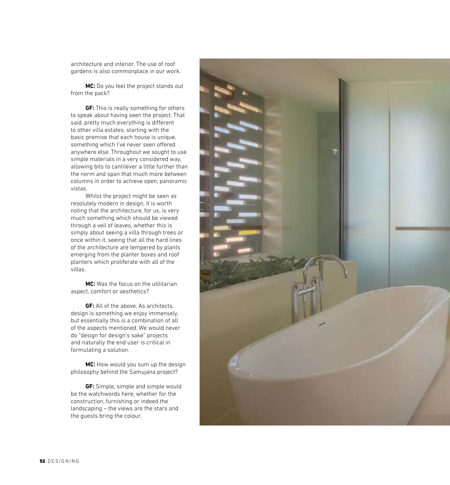architecture and interior. The use of roof gardens is also commonplace in our work.

**MC:** Do you feel the project stands out from the pack?

**GF:** This is really something for others to speak about having seen the project. That said, pretty much everything is different to other villa estates, starting with the basic premise that each house is unique, something which I've never seen offered anywhere else. Throughout we sought to use simple materials in a very considered way, allowing bits to cantilever a little further than the norm and span that much more between columns in order to achieve open, panoramic vistas.

Whilst the project might be seen as resolutely modern in design, it is worth noting that the architecture, for us, is very much something which should be viewed through a veil of leaves, whether this is simply about seeing a villa through trees or once within it, seeing that all the hard lines of the architecture are tempered by plants emerging from the planter boxes and roof planters which proliferate with all of the villas.

**MC:** Was the focus on the utilitarian aspect, comfort or aesthetics?

**GF:** All of the above. As architects, design is something we enjoy immensely, but essentially this is a combination of all of the aspects mentioned. We would never do "design for design's sake" projects and naturally the end user is critical in formulating a solution.

**MC:** How would you sum up the design philosophy behind the Samujana project?

**GF:** Simple, simple and simple would be the watchwords here, whether for the construction, furnishing or indeed the landscaping – the views are the stars and the guests bring the colour.

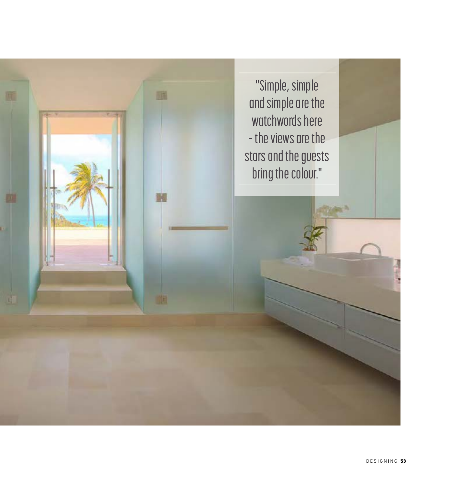